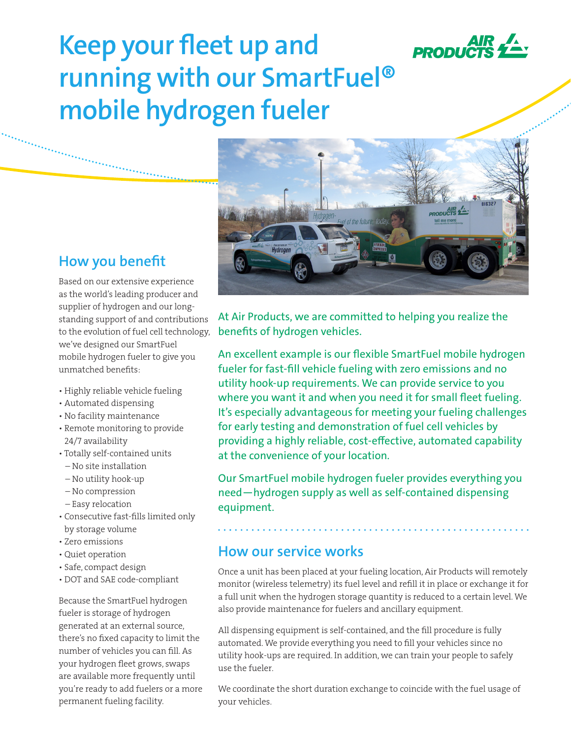

# **Keep your fleet up and running with our SmartFuel® mobile hydrogen fueler**



Based on our extensive experience as the world's leading producer and supplier of hydrogen and our longstanding support of and contributions to the evolution of fuel cell technology, we've designed our SmartFuel mobile hydrogen fueler to give you unmatched benefits:

- Highly reliable vehicle fueling
- Automated dispensing
- No facility maintenance
- Remote monitoring to provide 24/7 availability
- Totally self-contained units
- No site installation
- No utility hook-up
- No compression
- Easy relocation
- Consecutive fast-fills limited only by storage volume
- Zero emissions
- Quiet operation
- Safe, compact design
- DOT and SAE code-compliant

Because the SmartFuel hydrogen fueler is storage of hydrogen generated at an external source, there's no fixed capacity to limit the number of vehicles you can fill. As your hydrogen fleet grows, swaps are available more frequently until you're ready to add fuelers or a more permanent fueling facility.

At Air Products, we are committed to helping you realize the benefits of hydrogen vehicles.

An excellent example is our flexible SmartFuel mobile hydrogen fueler for fast-fill vehicle fueling with zero emissions and no utility hook-up requirements. We can provide service to you where you want it and when you need it for small fleet fueling. It's especially advantageous for meeting your fueling challenges for early testing and demonstration of fuel cell vehicles by providing a highly reliable, cost-effective, automated capability at the convenience of your location.

Our SmartFuel mobile hydrogen fueler provides everything you need—hydrogen supply as well as self-contained dispensing equipment.

### **How our service works**

Once a unit has been placed at your fueling location, Air Products will remotely monitor (wireless telemetry) its fuel level and refill it in place or exchange it for a full unit when the hydrogen storage quantity is reduced to a certain level. We also provide maintenance for fuelers and ancillary equipment.

All dispensing equipment is self-contained, and the fill procedure is fully automated. We provide everything you need to fill your vehicles since no utility hook-ups are required. In addition, we can train your people to safely use the fueler.

We coordinate the short duration exchange to coincide with the fuel usage of your vehicles.